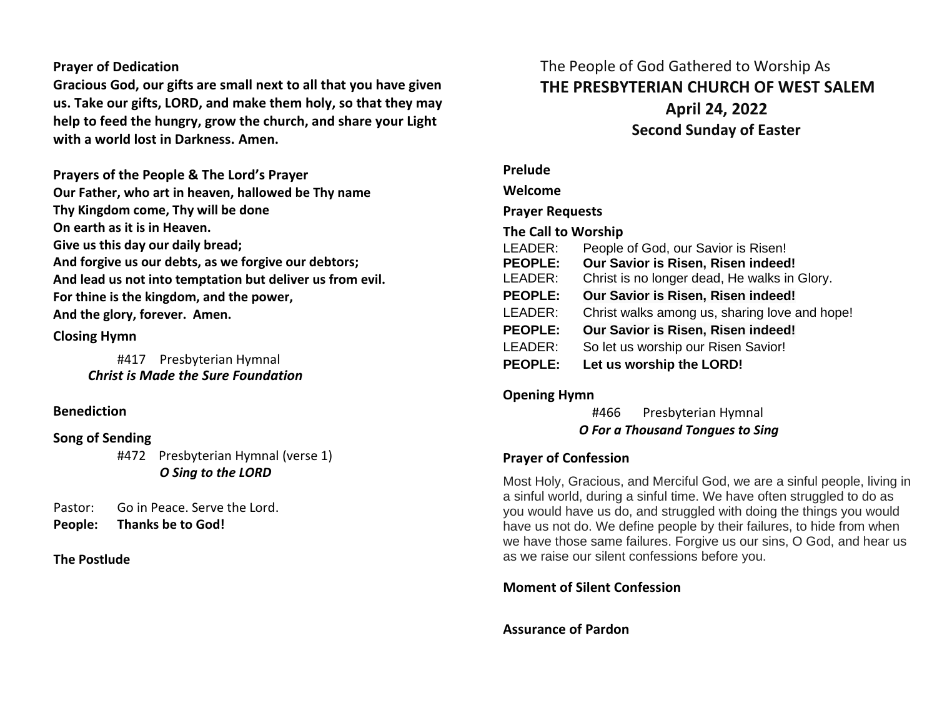## **Prayer of Dedication**

**Gracious God, our gifts are small next to all that you have given us. Take our gifts, LORD, and make them holy, so that they may help to feed the hungry, grow the church, and share your Light with a world lost in Darkness. Amen.**

**Prayers of the People & The Lord's Prayer Our Father, who art in heaven, hallowed be Thy name Thy Kingdom come, Thy will be done On earth as it is in Heaven. Give us this day our daily bread; And forgive us our debts, as we forgive our debtors; And lead us not into temptation but deliver us from evil. For thine is the kingdom, and the power, And the glory, forever. Amen.** 

### **Closing Hymn**

#417 Presbyterian Hymnal  *Christ is Made the Sure Foundation*

### **Benediction**

## **Song of Sending**

#472 Presbyterian Hymnal (verse 1) *O Sing to the LORD*

Pastor: Go in Peace. Serve the Lord. **People: Thanks be to God!** 

### **The Postlude**

# The People of God Gathered to Worship As **THE PRESBYTERIAN CHURCH OF WEST SALEM April 24, 2022 Second Sunday of Easter**

# **Prelude Welcome Prayer Requests The Call to Worship** LEADER: People of God, our Savior is Risen! **PEOPLE: Our Savior is Risen, Risen indeed!** LEADER: Christ is no longer dead, He walks in Glory. **PEOPLE: Our Savior is Risen, Risen indeed!** LEADER: Christ walks among us, sharing love and hope! **PEOPLE: Our Savior is Risen, Risen indeed!** LEADER: So let us worship our Risen Savior! **PEOPLE: Let us worship the LORD!**

# **Opening Hymn**

#466 Presbyterian Hymnal  *O For a Thousand Tongues to Sing*

## **Prayer of Confession**

Most Holy, Gracious, and Merciful God, we are a sinful people, living in a sinful world, during a sinful time. We have often struggled to do as you would have us do, and struggled with doing the things you would have us not do. We define people by their failures, to hide from when we have those same failures. Forgive us our sins, O God, and hear us as we raise our silent confessions before you.

# **Moment of Silent Confession**

# **Assurance of Pardon**